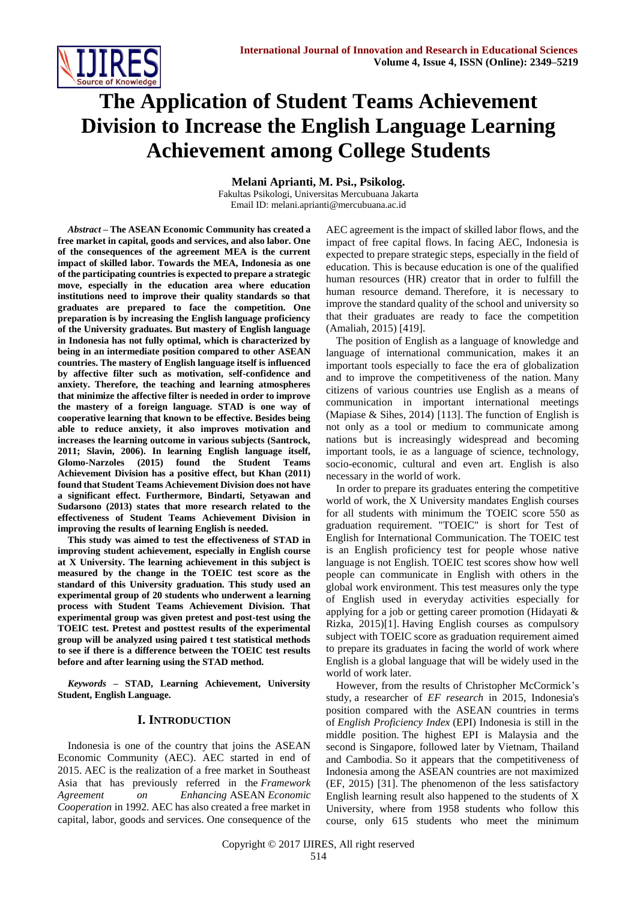

# **The Application of Student Teams Achievement Division to Increase the English Language Learning Achievement among College Students**

**Melani Aprianti, M. Psi., Psikolog.**

Fakultas Psikologi, Universitas Mercubuana Jakarta Email ID: melani.aprianti@mercubuana.ac.id

*Abstract* **– The ASEAN Economic Community has created a free market in capital, goods and services, and also labor. One of the consequences of the agreement MEA is the current impact of skilled labor. Towards the MEA, Indonesia as one of the participating countries is expected to prepare a strategic move, especially in the education area where education institutions need to improve their quality standards so that graduates are prepared to face the competition. One preparation is by increasing the English language proficiency of the University graduates. But mastery of English language in Indonesia has not fully optimal, which is characterized by being in an intermediate position compared to other ASEAN countries. The mastery of English language itself is influenced by affective filter such as motivation, self-confidence and anxiety. Therefore, the teaching and learning atmospheres that minimize the affective filter is needed in order to improve the mastery of a foreign language. STAD is one way of cooperative learning that known to be effective. Besides being able to reduce anxiety, it also improves motivation and increases the learning outcome in various subjects (Santrock, 2011; Slavin, 2006). In learning English language itself, Glomo-Narzoles (2015) found the Student Teams Achievement Division has a positive effect, but Khan (2011) found that Student Teams Achievement Division does not have a significant effect. Furthermore, Bindarti, Setyawan and Sudarsono (2013) states that more research related to the effectiveness of Student Teams Achievement Division in improving the results of learning English is needed.**

**This study was aimed to test the effectiveness of STAD in improving student achievement, especially in English course at X University. The learning achievement in this subject is measured by the change in the TOEIC test score as the standard of this University graduation. This study used an experimental group of 20 students who underwent a learning process with Student Teams Achievement Division. That experimental group was given pretest and post-test using the TOEIC test. Pretest and posttest results of the experimental group will be analyzed using paired t test statistical methods to see if there is a difference between the TOEIC test results before and after learning using the STAD method.** 

*Keywords* **– STAD, Learning Achievement, University Student, English Language.**

## **I. INTRODUCTION**

Indonesia is one of the country that joins the ASEAN Economic Community (AEC). AEC started in end of 2015. AEC is the realization of a free market in Southeast Asia that has previously referred in the *Framework Agreement on Enhancing* ASEAN *Economic Cooperation* in 1992. AEC has also created a free market in capital, labor, goods and services. One consequence of the AEC agreement is the impact of skilled labor flows, and the impact of free capital flows. In facing AEC, Indonesia is expected to prepare strategic steps, especially in the field of education. This is because education is one of the qualified human resources (HR) creator that in order to fulfill the human resource demand. Therefore, it is necessary to improve the standard quality of the school and university so that their graduates are ready to face the competition (Amaliah, 2015) [419].

The position of English as a language of knowledge and language of international communication, makes it an important tools especially to face the era of globalization and to improve the competitiveness of the nation. Many citizens of various countries use English as a means of communication in important international meetings (Mapiase & Sihes, 2014) [113]. The function of English is not only as a tool or medium to communicate among nations but is increasingly widespread and becoming important tools, ie as a language of science, technology, socio-economic, cultural and even art. English is also necessary in the world of work.

In order to prepare its graduates entering the competitive world of work, the X University mandates English courses for all students with minimum the TOEIC score 550 as graduation requirement. "TOEIC" is short for Test of English for International Communication. The TOEIC test is an English proficiency test for people whose native language is not English. TOEIC test scores show how well people can communicate in English with others in the global work environment. This test measures only the type of English used in everyday activities especially for applying for a job or getting career promotion (Hidayati & Rizka, 2015)[1]. Having English courses as compulsory subject with TOEIC score as graduation requirement aimed to prepare its graduates in facing the world of work where English is a global language that will be widely used in the world of work later.

However, from the results of Christopher McCormick's study, a researcher of *EF research* in 2015, Indonesia's position compared with the ASEAN countries in terms of *English Proficiency Index* (EPI) Indonesia is still in the middle position. The highest EPI is Malaysia and the second is Singapore, followed later by Vietnam, Thailand and Cambodia. So it appears that the competitiveness of Indonesia among the ASEAN countries are not maximized (EF, 2015) [31]. The phenomenon of the less satisfactory English learning result also happened to the students of X University, where from 1958 students who follow this course, only 615 students who meet the minimum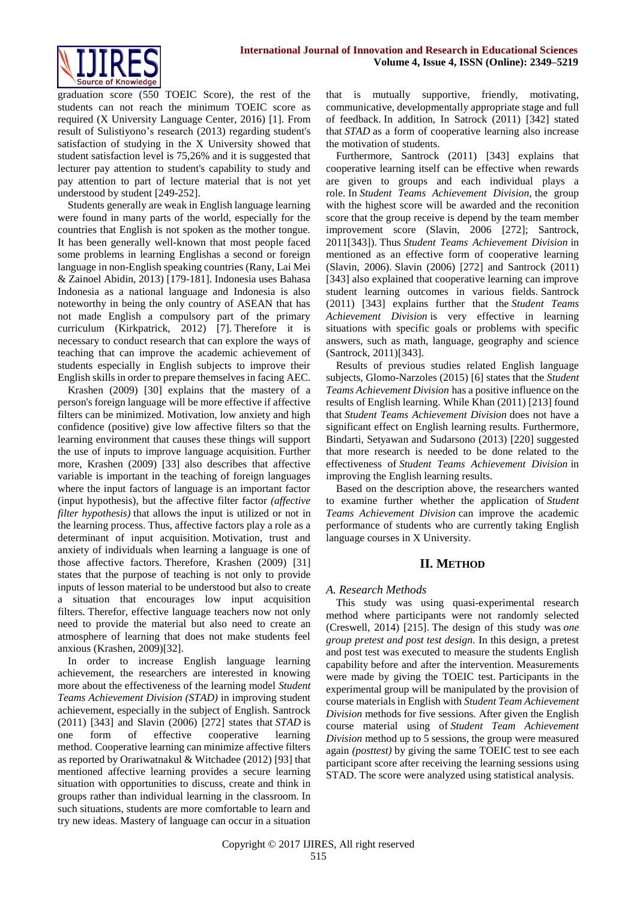

graduation score (550 TOEIC Score), the rest of the students can not reach the minimum TOEIC score as required (X University Language Center, 2016) [1]. From result of Sulistiyono's research (2013) regarding student's satisfaction of studying in the X University showed that student satisfaction level is 75,26% and it is suggested that lecturer pay attention to student's capability to study and pay attention to part of lecture material that is not yet understood by student [249-252].

Students generally are weak in English language learning were found in many parts of the world, especially for the countries that English is not spoken as the mother tongue. It has been generally well-known that most people faced some problems in learning Englishas a second or foreign language in non-English speaking countries (Rany, Lai Mei & Zainoel Abidin, 2013) [179-181]. Indonesia uses Bahasa Indonesia as a national language and Indonesia is also noteworthy in being the only country of ASEAN that has not made English a compulsory part of the primary curriculum (Kirkpatrick, 2012) [7]. Therefore it is necessary to conduct research that can explore the ways of teaching that can improve the academic achievement of students especially in English subjects to improve their English skills in order to prepare themselves in facing AEC.

Krashen (2009) [30] explains that the mastery of a person's foreign language will be more effective if affective filters can be minimized. Motivation, low anxiety and high confidence (positive) give low affective filters so that the learning environment that causes these things will support the use of inputs to improve language acquisition. Further more, Krashen (2009) [33] also describes that affective variable is important in the teaching of foreign languages where the input factors of language is an important factor (input hypothesis), but the affective filter factor *(affective filter hypothesis)* that allows the input is utilized or not in the learning process. Thus, affective factors play a role as a determinant of input acquisition. Motivation, trust and anxiety of individuals when learning a language is one of those affective factors. Therefore, Krashen (2009) [31] states that the purpose of teaching is not only to provide inputs of lesson material to be understood but also to create a situation that encourages low input acquisition filters. Therefor, effective language teachers now not only need to provide the material but also need to create an atmosphere of learning that does not make students feel anxious (Krashen, 2009)[32].

In order to increase English language learning achievement, the researchers are interested in knowing more about the effectiveness of the learning model *Student Teams Achievement Division (STAD)* in improving student achievement, especially in the subject of English. Santrock (2011) [343] and Slavin (2006) [272] states that *STAD* is one form of effective cooperative learning method. Cooperative learning can minimize affective filters as reported by Orariwatnakul & Witchadee (2012) [93] that mentioned affective learning provides a secure learning situation with opportunities to discuss, create and think in groups rather than individual learning in the classroom. In such situations, students are more comfortable to learn and try new ideas. Mastery of language can occur in a situation

that is mutually supportive, friendly, motivating, communicative, developmentally appropriate stage and full of feedback. In addition, In Satrock (2011) [342] stated that *STAD* as a form of cooperative learning also increase the motivation of students.

Furthermore, Santrock (2011) [343] explains that cooperative learning itself can be effective when rewards are given to groups and each individual plays a role. In *Student Teams Achievement Division,* the group with the highest score will be awarded and the reconition score that the group receive is depend by the team member improvement score (Slavin, 2006 [272]; Santrock, 2011[343]). Thus *Student Teams Achievement Division* in mentioned as an effective form of cooperative learning (Slavin, 2006). Slavin (2006) [272] and Santrock (2011) [343] also explained that cooperative learning can improve student learning outcomes in various fields. Santrock (2011) [343] explains further that the *Student Teams Achievement Division* is very effective in learning situations with specific goals or problems with specific answers, such as math, language, geography and science (Santrock, 2011)[343].

Results of previous studies related English language subjects, Glomo-Narzoles (2015) [6] states that the *Student Teams Achievement Division* has a positive influence on the results of English learning. While Khan (2011) [213] found that *Student Teams Achievement Division* does not have a significant effect on English learning results. Furthermore, Bindarti, Setyawan and Sudarsono (2013) [220] suggested that more research is needed to be done related to the effectiveness of *Student Teams Achievement Division* in improving the English learning results.

Based on the description above, the researchers wanted to examine further whether the application of *Student Teams Achievement Division* can improve the academic performance of students who are currently taking English language courses in X University.

## **II. METHOD**

### *A. Research Methods*

This study was using quasi-experimental research method where participants were not randomly selected (Creswell, 2014) [215]. The design of this study was *one group pretest and post test design.* In this design, a pretest and post test was executed to measure the students English capability before and after the intervention*.* Measurements were made by giving the TOEIC test. Participants in the experimental group will be manipulated by the provision of course materials in English with *Student Team Achievement Division* methods for five sessions. After given the English course material using of *Student Team Achievement Division* method up to 5 sessions, the group were measured again *(posttest)* by giving the same TOEIC test to see each participant score after receiving the learning sessions using STAD. The score were analyzed using statistical analysis.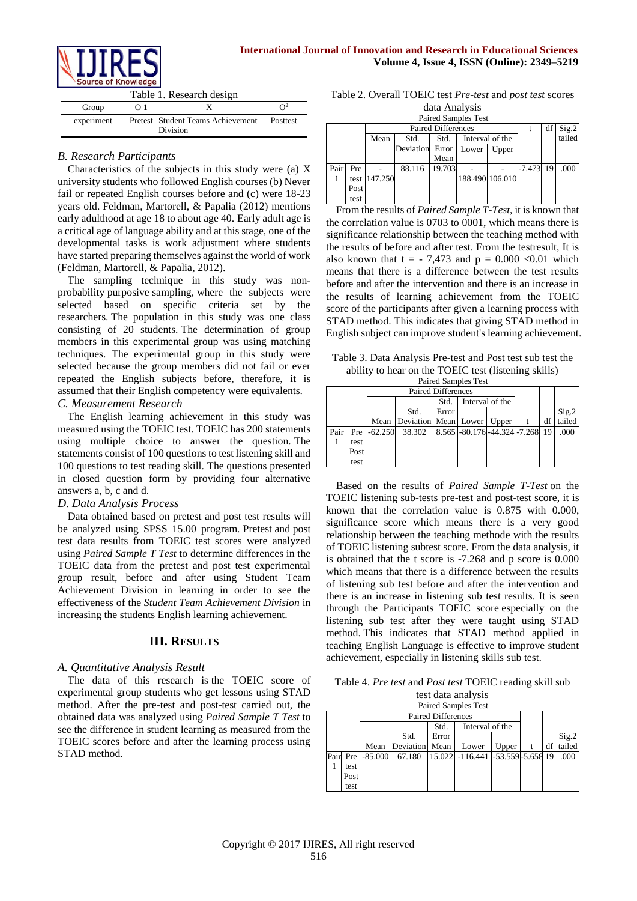

| $300$ and $300$ and $300$ and $300$ |     |                                               |                 |  |  |  |  |  |  |
|-------------------------------------|-----|-----------------------------------------------|-----------------|--|--|--|--|--|--|
| Table 1. Research design            |     |                                               |                 |  |  |  |  |  |  |
| Group                               | O 1 |                                               | $\Omega^2$      |  |  |  |  |  |  |
| experiment                          |     | Pretest Student Teams Achievement<br>Division | <b>Posttest</b> |  |  |  |  |  |  |

# *B. Research Participants*

Characteristics of the subjects in this study were (a) X university students who followed English courses (b) Never fail or repeated English courses before and (c) were 18-23 years old. Feldman, Martorell, & Papalia (2012) mentions early adulthood at age 18 to about age 40. Early adult age is a critical age of language ability and at this stage, one of the developmental tasks is work adjustment where students have started preparing themselves against the world of work (Feldman, Martorell, & Papalia, 2012).

The sampling technique in this study was nonprobability purposive sampling*,* where the subjects were selected based on specific criteria set by the researchers. The population in this study was one class consisting of 20 students. The determination of group members in this experimental group was using matching techniques. The experimental group in this study were selected because the group members did not fail or ever repeated the English subjects before, therefore, it is assumed that their English competency were equivalents. *C. Measurement Research*

The English learning achievement in this study was measured using the TOEIC test. TOEIC has 200 statements using multiple choice to answer the question. The statements consist of 100 questions to test listening skill and 100 questions to test reading skill. The questions presented in closed question form by providing four alternative answers a, b, c and d.

## *D. Data Analysis Process*

Data obtained based on pretest and post test results will be analyzed using SPSS 15.00 program. Pretest and post test data results from TOEIC test scores were analyzed using *Paired Sample T Test* to determine differences in the TOEIC data from the pretest and post test experimental group result, before and after using Student Team Achievement Division in learning in order to see the effectiveness of the *Student Team Achievement Division* in increasing the students English learning achievement.

# **III. RESULTS**

# *A. Quantitative Analysis Result*

The data of this research is the TOEIC score of experimental group students who get lessons using STAD method. After the pre-test and post-test carried out, the obtained data was analyzed using *Paired Sample T Test* to see the difference in student learning as measured from the TOEIC scores before and after the learning process using STAD method.

Table 2. Overall TOEIC test *Pre-test* and *post test* scores data Analysis

| <b>Paired Samples Test</b> |      |                                                                                                                                                                                                                             |  |  |  |  |  |  |  |  |  |  |
|----------------------------|------|-----------------------------------------------------------------------------------------------------------------------------------------------------------------------------------------------------------------------------|--|--|--|--|--|--|--|--|--|--|
|                            |      | Sig.2<br><b>Paired Differences</b><br>df<br>tailed<br>Interval of the<br>Mean<br>Std.<br>Std.<br>Deviation Error<br>Lower<br>Upper<br>Mean<br>19.703<br>.000<br>19<br>$-7.473$<br>88.116<br>188.490 106.010<br>test 147.250 |  |  |  |  |  |  |  |  |  |  |
|                            |      |                                                                                                                                                                                                                             |  |  |  |  |  |  |  |  |  |  |
|                            |      |                                                                                                                                                                                                                             |  |  |  |  |  |  |  |  |  |  |
|                            |      |                                                                                                                                                                                                                             |  |  |  |  |  |  |  |  |  |  |
| Pair                       | Pre  |                                                                                                                                                                                                                             |  |  |  |  |  |  |  |  |  |  |
|                            |      |                                                                                                                                                                                                                             |  |  |  |  |  |  |  |  |  |  |
|                            | Post |                                                                                                                                                                                                                             |  |  |  |  |  |  |  |  |  |  |
|                            | test |                                                                                                                                                                                                                             |  |  |  |  |  |  |  |  |  |  |

From the results of *Paired Sample T-Test*, it is known that the correlation value is 0703 to 0001, which means there is significance relationship between the teaching method with the results of before and after test. From the testresult, It is also known that  $t = -7,473$  and  $p = 0.000$  <0.01 which means that there is a difference between the test results before and after the intervention and there is an increase in the results of learning achievement from the TOEIC score of the participants after given a learning process with STAD method. This indicates that giving STAD method in English subject can improve student's learning achievement.

Table 3. Data Analysis Pre-test and Post test sub test the ability to hear on the TOEIC test (listening skills) Paired Samples Test

|                    |       |           |                                         |       | танса вашвюз тем                |  |     |                 |
|--------------------|-------|-----------|-----------------------------------------|-------|---------------------------------|--|-----|-----------------|
| Paired Differences |       |           |                                         |       |                                 |  |     |                 |
|                    |       |           |                                         | Std.  | Interval of the                 |  |     |                 |
|                    |       |           | Std.                                    | Error |                                 |  |     | Sig.2<br>tailed |
|                    |       |           | Mean   Deviation   Mean   Lower   Upper |       |                                 |  | df  |                 |
| Pair               | Pre 1 | $-62.250$ | 38.302                                  |       | 8.565 - 80.176 - 44.324 - 7.268 |  | -19 | .000            |
|                    | test  |           |                                         |       |                                 |  |     |                 |
|                    | Post  |           |                                         |       |                                 |  |     |                 |
|                    | test  |           |                                         |       |                                 |  |     |                 |

Based on the results of *Paired Sample T-Test* on the TOEIC listening sub-tests pre-test and post-test score, it is known that the correlation value is 0.875 with 0.000, significance score which means there is a very good relationship between the teaching methode with the results of TOEIC listening subtest score. From the data analysis, it is obtained that the t score is -7.268 and p score is 0.000 which means that there is a difference between the results of listening sub test before and after the intervention and there is an increase in listening sub test results. It is seen through the Participants TOEIC score especially on the listening sub test after they were taught using STAD method. This indicates that STAD method applied in teaching English Language is effective to improve student achievement, especially in listening skills sub test.

Table 4. *Pre test* and *Post test* TOEIC reading skill sub test data analysis

| <b>Paired Samples Test</b> |                           |           |           |       |                                    |       |  |  |        |  |
|----------------------------|---------------------------|-----------|-----------|-------|------------------------------------|-------|--|--|--------|--|
|                            | <b>Paired Differences</b> |           |           |       |                                    |       |  |  |        |  |
|                            | Interval of the<br>Std.   |           |           |       |                                    |       |  |  |        |  |
|                            |                           |           | Std.      | Error |                                    |       |  |  | Sig.2  |  |
|                            |                           | Mean      | Deviation | Mean  | Lower                              | Upper |  |  | tailed |  |
| Pair                       | Pre l                     | $-85.000$ | 67.180    |       | 15.022 -116.441 -53.559 - 5.658 19 |       |  |  | .000   |  |
|                            | test                      |           |           |       |                                    |       |  |  |        |  |
|                            | Post                      |           |           |       |                                    |       |  |  |        |  |
|                            | test                      |           |           |       |                                    |       |  |  |        |  |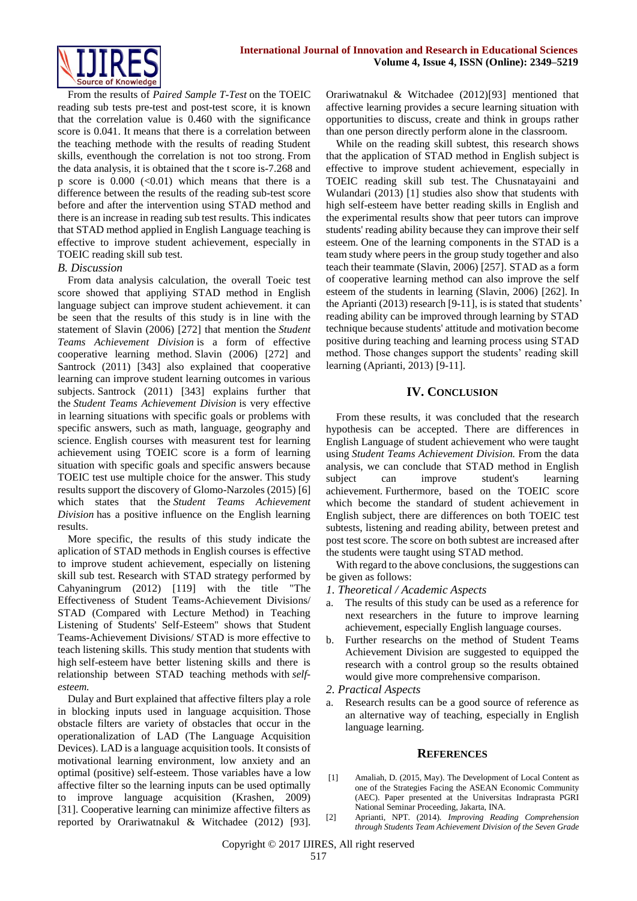From the results of *Paired Sample T-Test* on the TOEIC reading sub tests pre-test and post-test score, it is known that the correlation value is 0.460 with the significance score is 0.041. It means that there is a correlation between the teaching methode with the results of reading Student skills, eventhough the correlation is not too strong. From the data analysis, it is obtained that the t score is-7.268 and p score is  $0.000$  (<0.01) which means that there is a difference between the results of the reading sub-test score before and after the intervention using STAD method and there is an increase in reading sub test results. This indicates that STAD method applied in English Language teaching is effective to improve student achievement, especially in TOEIC reading skill sub test.

## *B. Discussion*

From data analysis calculation, the overall Toeic test score showed that appliying STAD method in English language subject can improve student achievement. it can be seen that the results of this study is in line with the statement of Slavin (2006) [272] that mention the *Student Teams Achievement Division* is a form of effective cooperative learning method. Slavin (2006) [272] and Santrock (2011) [343] also explained that cooperative learning can improve student learning outcomes in various subjects. Santrock (2011) [343] explains further that the *Student Teams Achievement Division* is very effective in learning situations with specific goals or problems with specific answers, such as math, language, geography and science. English courses with measurent test for learning achievement using TOEIC score is a form of learning situation with specific goals and specific answers because TOEIC test use multiple choice for the answer. This study results support the discovery of Glomo-Narzoles (2015) [6] which states that the *Student Teams Achievement Division* has a positive influence on the English learning results.

More specific, the results of this study indicate the aplication of STAD methods in English courses is effective to improve student achievement, especially on listening skill sub test. Research with STAD strategy performed by Cahyaningrum (2012) [119] with the title "The Effectiveness of Student Teams-Achievement Divisions/ STAD (Compared with Lecture Method) in Teaching Listening of Students' Self-Esteem" shows that Student Teams-Achievement Divisions/ STAD is more effective to teach listening skills*.* This study mention that students with high self-esteem have better listening skills and there is relationship between STAD teaching methods with *selfesteem.*

Dulay and Burt explained that affective filters play a role in blocking inputs used in language acquisition. Those obstacle filters are variety of obstacles that occur in the operationalization of LAD (The Language Acquisition Devices). LAD is a language acquisition tools. It consists of motivational learning environment, low anxiety and an optimal (positive) self-esteem. Those variables have a low affective filter so the learning inputs can be used optimally to improve language acquisition (Krashen, 2009) [31]. Cooperative learning can minimize affective filters as reported by Orariwatnakul & Witchadee (2012) [93].

Orariwatnakul & Witchadee (2012)[93] mentioned that affective learning provides a secure learning situation with opportunities to discuss, create and think in groups rather than one person directly perform alone in the classroom.

While on the reading skill subtest, this research shows that the application of STAD method in English subject is effective to improve student achievement, especially in TOEIC reading skill sub test. The Chusnatayaini and Wulandari (2013) [1] studies also show that students with high self-esteem have better reading skills in English and the experimental results show that peer tutors can improve students' reading ability because they can improve their self esteem. One of the learning components in the STAD is a team study where peers in the group study together and also teach their teammate (Slavin, 2006) [257]. STAD as a form of cooperative learning method can also improve the self esteem of the students in learning (Slavin, 2006) [262]. In the Aprianti (2013) research [9-11], is is stated that students' reading ability can be improved through learning by STAD technique because students' attitude and motivation become positive during teaching and learning process using STAD method. Those changes support the students' reading skill learning (Aprianti, 2013) [9-11].

# **IV. CONCLUSION**

From these results, it was concluded that the research hypothesis can be accepted. There are differences in English Language of student achievement who were taught using *Student Teams Achievement Division.* From the data analysis, we can conclude that STAD method in English subject can improve student's learning achievement. Furthermore, based on the TOEIC score which become the standard of student achievement in English subject, there are differences on both TOEIC test subtests, listening and reading ability, between pretest and post test score. The score on both subtest are increased after the students were taught using STAD method.

With regard to the above conclusions, the suggestions can be given as follows:

- *1. Theoretical / Academic Aspects*
- a. The results of this study can be used as a reference for next researchers in the future to improve learning achievement, especially English language courses.
- b. Further researchs on the method of Student Teams Achievement Division are suggested to equipped the research with a control group so the results obtained would give more comprehensive comparison.
- *2. Practical Aspects*
- a. Research results can be a good source of reference as an alternative way of teaching, especially in English language learning.

#### **REFERENCES**

- [1] Amaliah, D. (2015, May). The Development of Local Content as one of the Strategies Facing the ASEAN Economic Community (AEC). Paper presented at the Universitas Indraprasta PGRI National Seminar Proceeding, Jakarta, INA.
- [2] Aprianti, NPT. (2014). *Improving Reading Comprehension through Students Team Achievement Division of the Seven Grade*